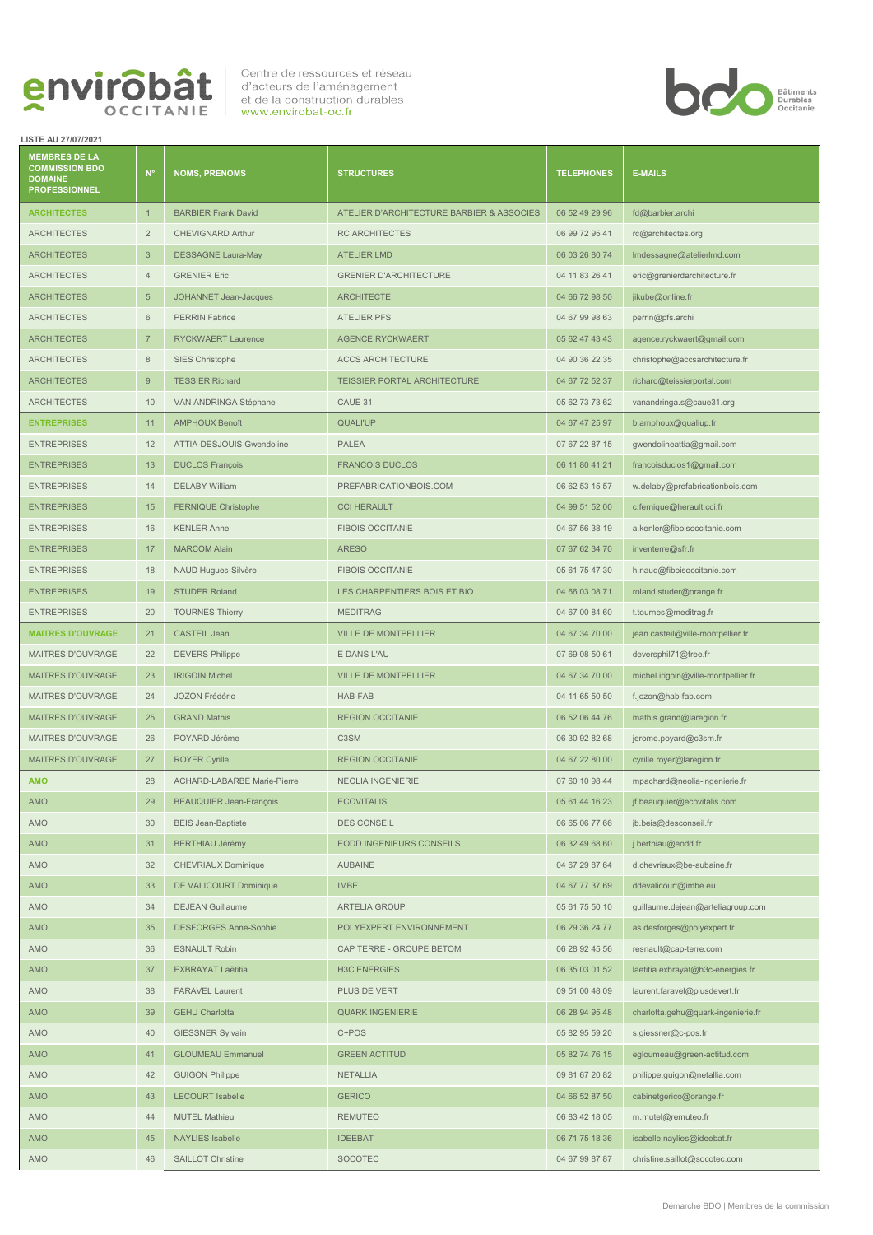

**LISTE AU 27/07/2021**

## **MEMBRES DE LA COMMISSION BDO DOMAINE PROFESSIONNEL N° NOMS, PRENOMS STRUCTURES TELEPHONES E-MAILS** ARCHITECTES 1 BARBIER Frank David ATELIER D'ARCHITECTURE BARBIER & ASSOCIES 06 52 49 29 96 [fd@barbier.archi](mailto:fd@barbier.archi) ARCHITECTES 2 CHEVIGNARD Arthur RC ARCHITECTES 06 99 72 95 41 rc@architectes.org ARCHITECTES 3 DESSAGNE Laura-May ATELIER LMD 3 CONTENTS 200 03 26 80 74 Imdessagne@atelierlmd.com ARCHITECTES 4 GRENIER Eric GRENIER Eric GRENIER D'ARCHITECTURE 04 11 83 26 41 eric@grenierdarchitecture.fr ARCHITECTES 5 JOHANNET Jean-Jacques ARCHITECTE 2009 1999 104 66 72 98 50 jikube@online.fr ARCHITECTES 6 PERRIN Fabrice ATELIER PFS 04 67 99 98 63 perrin@pfs.archi ARCHITECTES 7 RYCKWAERT Laurence AGENCE RYCKWAERT 666 17 3 AGENCE RYCKWAERT 1999 12 43 ASSEMBLE 2017 43 Agence.ryckwaert@gmail.com ARCHITECTES 8 SIES Christophe ACCS ARCHITECTURE 04 90 36 22 35 christophe@accsarchitecture.fr ARCHITECTES 9 TESSIER Richard TEISSIER PORTAL ARCHITECTURE 04 67 72 52 37 richard@teissierportal.com ARCHITECTES 10 VAN ANDRINGA Stéphane CAUE 31 CAUE 31 05 62 73 73 62 vanandringa.s@caue31.org **ENTREPRISES** 11 AMPHOUX Benoît QUALI'UP QUALI'UP 04 67 47 25 97 b.amphoux@qualiup.fr ENTREPRISES 12 ATTIA-DESJOUIS Gwendoline PALEA 07 67 22 87 15 gwendolineattia@gmail.com ENTREPRISES 13 DUCLOS François FRANCOIS DUCLOS 6 11 80 41 21 francoisduclos1@gmail.com ENTREPRISES 14 DELABY William PREFABRICATIONBOIS.COM 06 62 53 15 57 w.delaby@prefabricationbois.com ENTREPRISES 15 FERNIQUE Christophe CCI HERAULT 15 CCI HERAULT 1999 51 52 00 c.fernique@herault.cci.fr ENTREPRISES 16 KENLER Anne FIBOIS OCCITANIE 16 CONTREPRISES 19 a.kenler@fiboisoccitanie.com ENTREPRISES 17 MARCOM Alain ARESO 07 67 62 34 70 inventerre@sfr.fr ENTREPRISES 18 NAUD Hugues-Silvère FIBOIS OCCITANIE 05 61 75 47 30 h.naud@fiboisoccitanie.com ENTREPRISES 19 STUDER Roland LES CHARPENTIERS BOIS ET BIO 04 66 03 08 71 roland.studer@orange.fr ENTREPRISES 20 TOURNES Thierry MEDITRAG 20 MEDITRAG 2012 12:00 84 60 t.tournes@meditrag.fr **MAITRES D'OUVRAGE** 21 CASTEIL Jean VILLE DE MONTPELLIER 04 67 34 70 00 jean.casteil@ville-montpellier.fr MAITRES D'OUVRAGE 22 DEVERS Philippe Entre la Communication de la Communication de la Communication deversphil71@free.fr MAITRES D'OUVRAGE 23 | IRIGOIN Michel VILLE DE MONTPELLIER | 04 67 34 70 00 michel.irigoin@ville-montpellier.fr MAITRES D'OUVRAGE 24 JOZON Frédéric HAB-FAB HAB-FAB 04 11 65 50 50 f.jozon@hab-fab.com MAITRES D'OUVRAGE 25 GRAND Mathis REGION OCCITANIE 2008 1999 106 52 06 44 76 [mathis.grand@laregion.fr](mailto:mathis.grand@laregion.fr) MAITRES D'OUVRAGE 26 POYARD Jérôme C3SM C3SM 06 30 92 82 68 jerome.poyard@c3sm.fr MAITRES D'OUVRAGE 27 ROYER Cyrille Communication REGION OCCITANIE 04 67 22 80 00 cyrille.royer@laregion.fr AMO 28 ACHARD-LABARBE Marie-Pierre NEOLIA INGENIERIE 07 60 10 98 44 mpachard@neolia-ingenierie.fr AMO 29 BEAUQUIER Jean-François ECOVITALIS 20 BEAUQUIER Jean-François ECOVITALIS AMO 30 BEIS Jean-Baptiste DES CONSEIL 2000 DES CONSEIL 2006 65 06 77 66 [jb.beis@desconseil.fr](mailto:jb.beis@desconseil.fr) AMO 31 BERTHIAU Jérémy EODD INGENIEURS CONSEILS 06 32 49 68 60 j.berthiau@eodd.fr AMO 32 CHEVRIAUX Dominique AUBAINE AUBAINE 04 67 29 87 64 d.chevriaux@be-aubaine.fr AMO 33 DE VALICOURT Dominique IMBE 04 67 77 37 69 ddevalicourt@imbe.eu AMO 34 DEJEAN Guillaume ARTELIA GROUP 60 ARTELIA GROUP 605 61 75 50 10 guillaume.dejean@arteliagroup.com AMO 35 DESFORGES Anne-Sophie POLYEXPERT ENVIRONNEMENT 06 29 36 24 77 [as.desforges@polyexpert.fr](mailto:as.desforges@polyexpert.fr)

Centre de ressources et réseau d'acteurs de l'aménagement et de la construction durables www.envirobat-oc.fr



| <b>AMO</b> | 36 | <b>ESNAULT Robin</b>     | CAP TERRE - GROUPE BETOM | 06 28 92 45 56 | resnault@cap-terre.com             |
|------------|----|--------------------------|--------------------------|----------------|------------------------------------|
| <b>AMO</b> | 37 | <b>EXBRAYAT Laëtitia</b> | <b>H3C ENERGIES</b>      | 06 35 03 01 52 | laetitia.exbrayat@h3c-energies.fr  |
| <b>AMO</b> | 38 | <b>FARAVEL Laurent</b>   | PLUS DE VERT             | 09 51 00 48 09 | laurent.faravel@plusdevert.fr      |
| <b>AMO</b> | 39 | <b>GEHU Charlotta</b>    | <b>QUARK INGENIERIE</b>  | 06 28 94 95 48 | charlotta.gehu@quark-ingenierie.fr |
| <b>AMO</b> | 40 | <b>GIESSNER Sylvain</b>  | C+POS                    | 05 82 95 59 20 | s.giessner@c-pos.fr                |
| <b>AMO</b> | 41 | <b>GLOUMEAU Emmanuel</b> | <b>GREEN ACTITUD</b>     | 05 82 74 76 15 | egloumeau@green-actitud.com        |
| <b>AMO</b> | 42 | <b>GUIGON Philippe</b>   | <b>NETALLIA</b>          | 09 81 67 20 82 | philippe.guigon@netallia.com       |
| <b>AMO</b> | 43 | <b>LECOURT Isabelle</b>  | <b>GERICO</b>            | 04 66 52 87 50 | cabinetgerico@orange.fr            |
| AMO        | 44 | <b>MUTEL Mathieu</b>     | <b>REMUTEO</b>           | 06 83 42 18 05 | m.mutel@remuteo.fr                 |
| <b>AMO</b> | 45 | <b>NAYLIES</b> Isabelle  | <b>IDEEBAT</b>           | 06 71 75 18 36 | isabelle.naylies@ideebat.fr        |
| <b>AMO</b> | 46 | <b>SAILLOT Christine</b> | <b>SOCOTEC</b>           | 04 67 99 87 87 | christine.saillot@socotec.com      |